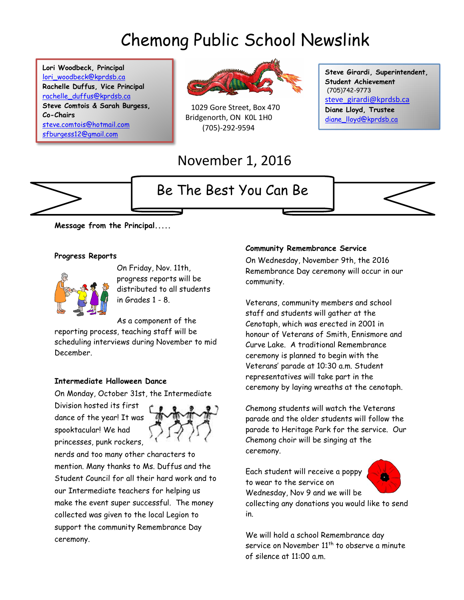# Chemong Public School Newslink

**Lori Woodbeck, Principal** [lori\\_woodbeck@kprdsb.ca](mailto:lori_woodbeck@kprdsb.ca) **Rachelle Duffus, Vice Principal** [rachelle\\_duffus@kprdsb.ca](mailto:rachelle_duffus@kprdsb.ca) **Steve Comtois & Sarah Burgess, Co-Chairs** [steve.comtois@hotmail.com](mailto:steve.comtois@hotmail.com) [sfburgess12@gmail.com](mailto:sfburgess12@gmail.com)



 1029 Gore Street, Box 470 Bridgenorth, ON K0L 1H0 (705)-292-9594

### November 1, 2016

## Be The Best You Can Be

**Steve Girardi, Superintendent, Student Achievement** (705)742-9773 [steve\\_girardi@kprdsb.ca](mailto:steve_girardi@kprdsb.ca) **Diane Lloyd, Trustee** [diane\\_lloyd@kprdsb.ca](mailto:diane_lloyd@kprdsb.ca)



**Message from the Principal.....** 

#### **Progress Reports**



On Friday, Nov. 11th, progress reports will be distributed to all students in Grades 1 - 8.

As a component of the

reporting process, teaching staff will be scheduling interviews during November to mid December.

#### **Intermediate Halloween Dance**

On Monday, October 31st, the Intermediate

Division hosted its first dance of the year! It was spooktacular! We had princesses, punk rockers,



nerds and too many other characters to mention. Many thanks to Ms. Duffus and the Student Council for all their hard work and to our Intermediate teachers for helping us make the event super successful. The money collected was given to the local Legion to support the community Remembrance Day ceremony.

#### **Community Remembrance Service**

On Wednesday, November 9th, the 2016 Remembrance Day ceremony will occur in our community.

Veterans, community members and school staff and students will gather at the Cenotaph, which was erected in 2001 in honour of Veterans of Smith, Ennismore and Curve Lake. A traditional Remembrance ceremony is planned to begin with the Veterans' parade at 10:30 a.m. Student representatives will take part in the ceremony by laying wreaths at the cenotaph.

Chemong students will watch the Veterans parade and the older students will follow the parade to Heritage Park for the service. Our Chemong choir will be singing at the ceremony.

Each student will receive a poppy to wear to the service on Wednesday, Nov 9 and we will be



collecting any donations you would like to send in.

We will hold a school Remembrance day service on November  $11<sup>th</sup>$  to observe a minute of silence at 11:00 a.m.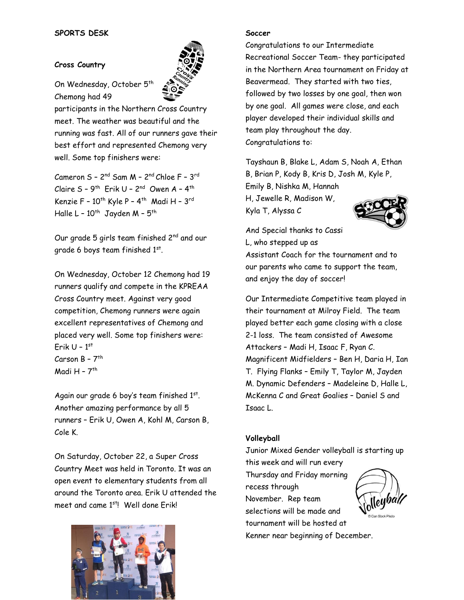#### **Cross Country**



On Wednesday, October 5<sup>th</sup> Chemong had 49

participants in the Northern Cross Country meet. The weather was beautiful and the running was fast. All of our runners gave their best effort and represented Chemong very well. Some top finishers were:

Cameron S – 2<sup>nd</sup> Sam M – 2<sup>nd</sup> Chloe F – 3<sup>rd</sup> Claire S - 9<sup>th</sup> Erik U - 2<sup>nd</sup> Owen A - 4<sup>th</sup> Kenzie F – 10<sup>th</sup> Kyle P – 4<sup>th</sup> Madi H – 3<sup>rd</sup> Halle L – 10<sup>th</sup> Jayden M – 5<sup>th</sup>

Our grade 5 girls team finished 2<sup>nd</sup> and our grade 6 boys team finished  $1^\mathrm{st}$ .

On Wednesday, October 12 Chemong had 19 runners qualify and compete in the KPREAA Cross Country meet. Against very good competition, Chemong runners were again excellent representatives of Chemong and placed very well. Some top finishers were: Erik U – 1 st Carson B – 7<sup>th</sup> Madi H - 7<sup>th</sup>

Again our grade 6 boy's team finished 1st. Another amazing performance by all 5 runners – Erik U, Owen A, Kohl M, Carson B, Cole K.

On Saturday, October 22, a Super Cross Country Meet was held in Toronto. It was an open event to elementary students from all around the Toronto area. Erik U attended the meet and came 1<sup>st</sup>! Well done Erik!



#### **Soccer**

Congratulations to our Intermediate Recreational Soccer Team- they participated in the Northern Area tournament on Friday at Beavermead. They started with two ties, followed by two losses by one goal, then won by one goal. All games were close, and each player developed their individual skills and team play throughout the day. Congratulations to:

Tayshaun B, Blake L, Adam S, Noah A, Ethan B, Brian P, Kody B, Kris D, Josh M, Kyle P, Emily B, Nishka M, Hannah H, Jewelle R, Madison W, Kyla T, Alyssa C



And Special thanks to Cassi L, who stepped up as

Assistant Coach for the tournament and to our parents who came to support the team, and enjoy the day of soccer!

Our Intermediate Competitive team played in their tournament at Milroy Field. The team played better each game closing with a close 2-1 loss. The team consisted of Awesome Attackers – Madi H, Isaac F, Ryan C. Magnificent Midfielders – Ben H, Daria H, Ian T. Flying Flanks – Emily T, Taylor M, Jayden M. Dynamic Defenders – Madeleine D, Halle L, McKenna C and Great Goalies – Daniel S and Isaac L.

#### **Volleyball**

Junior Mixed Gender volleyball is starting up this week and will run every Thursday and Friday morning recess through November. Rep team selections will be made and tournament will be hosted at Kenner near beginning of December.

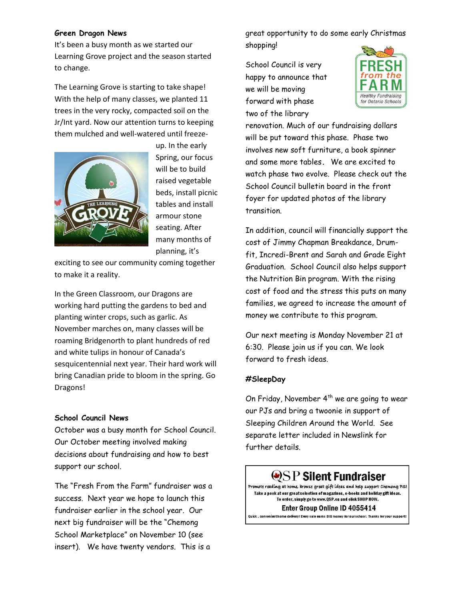#### **Green Dragon News**

It's been a busy month as we started our Learning Grove project and the season started to change.

The Learning Grove is starting to take shape! With the help of many classes, we planted 11 trees in the very rocky, compacted soil on the Jr/Int yard. Now our attention turns to keeping them mulched and well-watered until freeze-



up. In the early Spring, our focus will be to build raised vegetable beds, install picnic tables and install armour stone seating. After many months of planning, it's

exciting to see our community coming together to make it a reality.

In the Green Classroom, our Dragons are working hard putting the gardens to bed and planting winter crops, such as garlic. As November marches on, many classes will be roaming Bridgenorth to plant hundreds of red and white tulips in honour of Canada's sesquicentennial next year. Their hard work will bring Canadian pride to bloom in the spring. Go Dragons!

#### **School Council News**

October was a busy month for School Council. Our October meeting involved making decisions about fundraising and how to best support our school.

The "Fresh From the Farm" fundraiser was a success. Next year we hope to launch this fundraiser earlier in the school year. Our next big fundraiser will be the "Chemong School Marketplace" on November 10 (see insert). We have twenty vendors. This is a

great opportunity to do some early Christmas shopping!

School Council is very happy to announce that we will be moving forward with phase two of the library



renovation. Much of our fundraising dollars will be put toward this phase. Phase two involves new soft furniture, a book spinner and some more tables**.** We are excited to watch phase two evolve. Please check out the School Council bulletin board in the front foyer for updated photos of the library transition.

In addition, council will financially support the cost of Jimmy Chapman Breakdance, Drumfit, Incredi-Brent and Sarah and Grade Eight Graduation. School Council also helps support the Nutrition Bin program. With the rising cost of food and the stress this puts on many families, we agreed to increase the amount of money we contribute to this program.

Our next meeting is Monday November 21 at 6:30. Please join us if you can. We look forward to fresh ideas.

#### **#SleepDay**

On Friday, November  $4^{th}$  we are going to wear our PJs and bring a twoonie in support of Sleeping Children Around the World. See separate letter included in Newslink for further details.

### $\bigcirc$ SP Silent Fundraiser

Promote reading at home, browse great gift ideas and help support Chemong PS! Take a peek at our great selection of magazines, e-books and holiday gift ideas. To order, simply go to www.QSP.ca and click SHOP NOW.

#### Enter Group Online ID 4055414

.<br>Quick , convenienthome delivery! Every sale earns BIG money for our school. Thanks for your suppoi